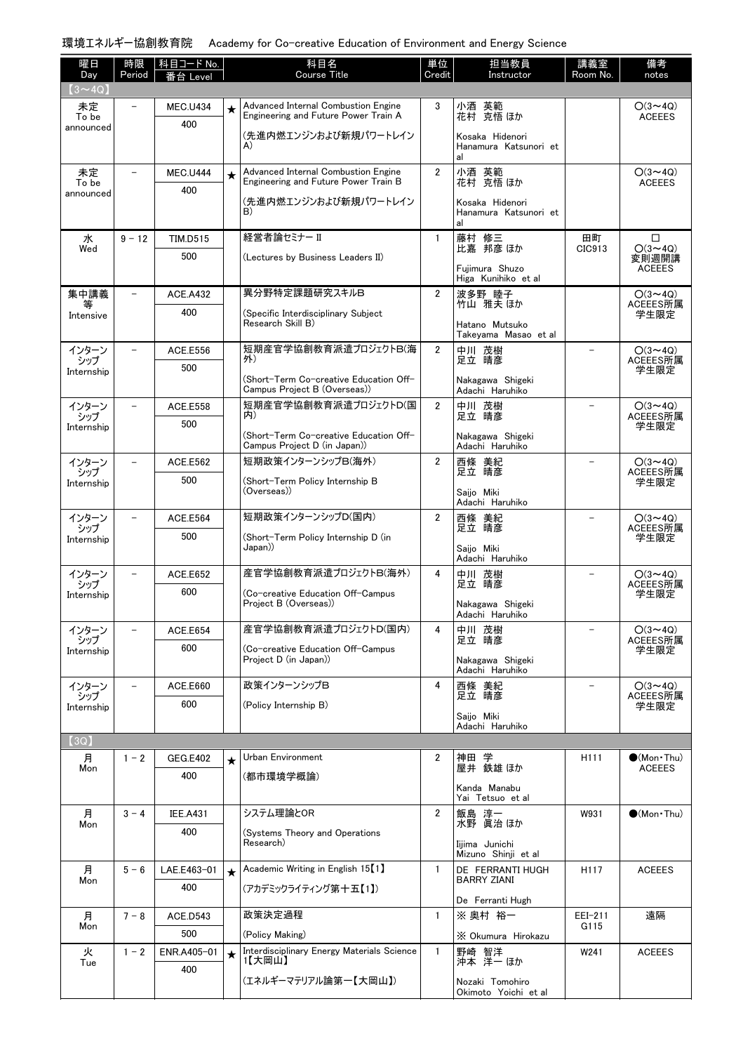## 環境エネルギー協創教育院 Academy for Co-creative Education of Environment and Energy Science

| 曜日<br>Day          | 時限<br>Period             | │科目コード No.<br>番台 Level |         | 科目名<br><b>Course Title</b>                                                  | 単位<br>Credit   | 担当教員<br>Instructor                             | 講義室<br>Room No.          | 備考<br>notes                |  |
|--------------------|--------------------------|------------------------|---------|-----------------------------------------------------------------------------|----------------|------------------------------------------------|--------------------------|----------------------------|--|
| $(3 \sim 4Q)$      |                          |                        |         |                                                                             |                |                                                |                          |                            |  |
| 未定                 | $\overline{\phantom{0}}$ | <b>MEC.U434</b>        | $\star$ | Advanced Internal Combustion Engine<br>Engineering and Future Power Train A | 3              | 小酒 英範<br>花村 克悟 ほか                              |                          | $O(3 \sim 4Q)$             |  |
| To be<br>announced |                          | 400                    |         | (先進内燃エンジンおよび新規パワートレイン                                                       |                |                                                |                          | <b>ACEEES</b>              |  |
|                    |                          |                        |         | A)                                                                          |                | Kosaka Hidenori<br>Hanamura Katsunori et<br>al |                          |                            |  |
| 未定                 | $\qquad \qquad -$        | <b>MEC.U444</b>        | $\star$ | Advanced Internal Combustion Engine                                         | $\overline{2}$ |                                                |                          | $O(3 \sim 4Q)$             |  |
| To be<br>announced |                          | 400                    |         | Engineering and Future Power Train B                                        |                | 小酒 英範<br>花村 克悟 ほか                              |                          | <b>ACEEES</b>              |  |
|                    |                          |                        |         | (先進内燃エンジンおよび新規パワートレイン<br>B)                                                 |                | Kosaka Hidenori<br>Hanamura Katsunori et<br>al |                          |                            |  |
| 水<br>Wed           | $9 - 12$                 | <b>TIM.D515</b>        |         | 経営者論セミナー II                                                                 | $\mathbf{1}$   | 藤村 修三<br>比嘉 邦彦 ほか                              | 田町<br>CIC913             | □<br>$O(3 \sim 4Q)$        |  |
|                    |                          | 500                    |         | (Lectures by Business Leaders II)                                           |                | Fuiimura Shuzo                                 |                          | 変則週開講<br><b>ACEEES</b>     |  |
|                    |                          |                        |         |                                                                             |                | Higa Kunihiko et al                            |                          |                            |  |
| 集中講義<br>等          | $\overline{\phantom{0}}$ | <b>ACE.A432</b>        |         | 異分野特定課題研究スキルB                                                               | $\overline{2}$ | 波多野 睦子<br>竹山 雅夫 ほか                             |                          | $O(3 \sim 4Q)$<br>ACEEES所属 |  |
| Intensive          |                          | 400                    |         | (Specific Interdisciplinary Subject<br>Research Skill B)                    |                | Hatano Mutsuko<br>Takeyama Masao et al         |                          | 学生限定                       |  |
| インターン              |                          | ACE.E556               |         | 短期産官学協創教育派遣プロジェクトB(海<br>外)                                                  | $\mathbf{2}$   | 中川 茂樹<br>足立 晴彦                                 |                          | $O(3 \sim 4Q)$<br>ACEEES所属 |  |
| シップ<br>Internship  |                          | 500                    |         | (Short-Term Co-creative Education Off-                                      |                | Nakagawa Shigeki                               |                          | 学生限定                       |  |
|                    |                          |                        |         | Campus Project B (Overseas))                                                |                | Adachi Haruhiko                                |                          |                            |  |
| インターン<br>シップ       | $\overline{\phantom{0}}$ | <b>ACE.E558</b>        |         | 短期産官学協創教育派遣プロジェクトD(国<br>内)                                                  | $\overline{2}$ | 中川 茂樹<br>足立 晴彦                                 | $\overline{\phantom{0}}$ | $O(3 \sim 4Q)$<br>ACEEES所属 |  |
| Internship         |                          | 500                    |         | (Short-Term Co-creative Education Off-                                      |                | Nakagawa Shigeki                               |                          | 学生限定                       |  |
|                    |                          |                        |         | Campus Project D (in Japan))<br>短期政策インターンシップB(海外)                           |                | Adachi Haruhiko                                |                          |                            |  |
| インターン<br>シップ       |                          | ACE.E562<br>500        |         |                                                                             | $\overline{2}$ | 西條 美紀<br>足立 晴彦                                 |                          | $O(3 \sim 4Q)$<br>ACEEES所属 |  |
| Internship         |                          |                        |         | (Short-Term Policy Internship B<br>(Overseas))                              |                | Saijo Miki<br>Adachi Haruhiko                  |                          | 学生限定                       |  |
| インターン              |                          | ACE.E564               |         | 短期政策インターンシップD(国内)                                                           | $\overline{2}$ | 西條 美紀                                          | $\overline{\phantom{0}}$ | $O(3 \sim 4Q)$             |  |
| シップ<br>Internship  |                          | 500                    |         | (Short-Term Policy Internship D (in                                         |                | 足立 晴彦                                          |                          | ACEEES所属<br>学生限定           |  |
|                    |                          |                        |         | ((Japan                                                                     |                | Saiio Miki<br>Adachi Haruhiko                  |                          |                            |  |
| インターン<br>シップ       |                          | ACE.E652               |         | 産官学協創教育派遣プロジェクトB(海外)                                                        | 4              | 中川 茂樹<br>足立 晴彦                                 |                          | $O(3 \sim 4Q)$<br>ACEEES所属 |  |
| Internship         |                          | 600                    |         | (Co-creative Education Off-Campus<br>Project B (Overseas))                  |                | Nakagawa Shigeki<br>Adachi Haruhiko            |                          | 学生限定                       |  |
| インターン              |                          | <b>ACE.E654</b>        |         | 産官学協創教育派遣プロジェクトD(国内)                                                        | 4              | 中川 茂樹                                          |                          | $O(3 \sim 4Q)$             |  |
| シップ<br>Internship  |                          | 600                    |         | (Co-creative Education Off-Campus                                           |                | 足立 晴彦                                          |                          | ACEEES所属<br>学生限定           |  |
|                    |                          |                        |         | Project D (in Japan))                                                       |                | Nakagawa Shigeki<br>Adachi Haruhiko            |                          |                            |  |
| インターン<br>シップ       |                          | ACE.E660               |         | 政策インターンシップB                                                                 | 4              | 西條 美紀<br>足立 晴彦                                 |                          | $O(3 \sim 4Q)$<br>ACEEES所属 |  |
| Internship         |                          | 600                    |         | (Policy Internship B)                                                       |                | Saiio Miki                                     |                          | 学生限定                       |  |
|                    |                          |                        |         |                                                                             |                | Adachi Haruhiko                                |                          |                            |  |
| (3Q)<br>月          | $1 - 2$                  | <b>GEG.E402</b>        | $\star$ | Urban Environment                                                           | 2              | 神田 学                                           | H <sub>111</sub>         | $\bullet$ (Mon Thu)        |  |
| Mon                |                          | 400                    |         | (都市環境学概論)                                                                   |                | 屋井 鉄雄 ほか                                       |                          | <b>ACEEES</b>              |  |
|                    |                          |                        |         |                                                                             |                | Kanda Manabu<br>Yai Tetsuo et al               |                          |                            |  |
| 月                  | $3 - 4$                  | <b>IEE.A431</b>        |         | システム理論とOR                                                                   | $\overline{2}$ | 飯島 淳一                                          | W931                     | $\bigcirc$ (Mon Thu)       |  |
| Mon                |                          | 400                    |         | (Systems Theory and Operations                                              |                | 水野 眞治 ほか                                       |                          |                            |  |
|                    |                          |                        |         | Research)                                                                   |                | Iijima Junichi<br>Mizuno Shinji et al          |                          |                            |  |
| 月<br>Mon           | $5 - 6$                  | LAE.E463-01            | $\star$ | Academic Writing in English 15 <sup>[1]</sup>                               | 1              | DE FERRANTI HUGH<br><b>BARRY ZIANI</b>         | H <sub>117</sub>         | <b>ACEEES</b>              |  |
|                    |                          | 400                    |         | (アカデミックライティング第十五【1】)                                                        |                | De Ferranti Hugh                               |                          |                            |  |
| 月                  | $7 - 8$                  | ACE.D543               |         | 政策決定過程                                                                      | $\mathbf{1}$   | ※ 奥村 裕一                                        | EEI-211                  | 遠隔                         |  |
| Mon                |                          | 500                    |         | (Policy Making)                                                             |                | X Okumura Hirokazu                             | G115                     |                            |  |
| 火                  | $1 - 2$                  | ENR.A405-01            | $\star$ | Interdisciplinary Energy Materials Science<br>1【大岡山】                        | $\mathbf{1}$   | 野崎 智洋<br>沖本 洋一 ほか                              | W241                     | <b>ACEEES</b>              |  |
| Tue                |                          | 400                    |         | (エネルギーマテリアル論第一【大岡山】)                                                        |                |                                                |                          |                            |  |
|                    |                          |                        |         |                                                                             |                | Nozaki Tomohiro<br>Okimoto Yoichi et al        |                          |                            |  |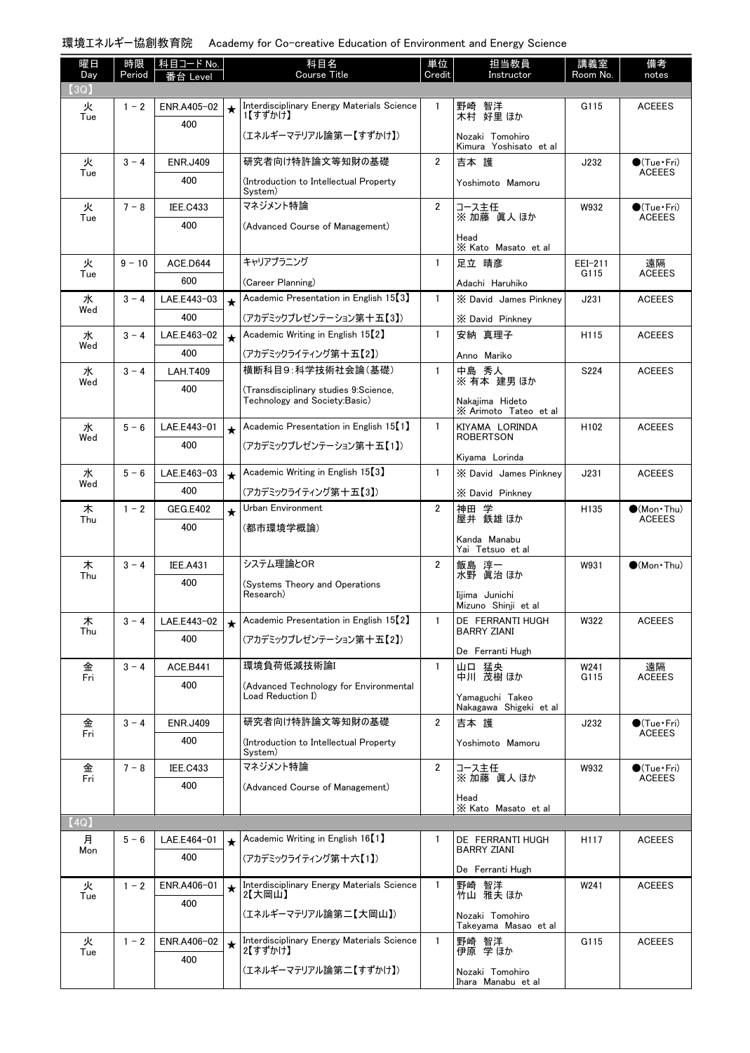## 環境エネルギー協創教育院 Academy for Co-creative Education of Environment and Energy Science

| 曜日          | 時限       | 科目コード No.       |         | 科目名                                                                    | 単位             | 担当教員                                      | 講義室              | 備考                                   |
|-------------|----------|-----------------|---------|------------------------------------------------------------------------|----------------|-------------------------------------------|------------------|--------------------------------------|
| Day<br>(3Q) | Period   | Level           |         | <b>Course Title</b>                                                    | Credit         | Instructor                                | Room No.         | notes                                |
| 火           | $1 - 2$  | ENR.A405-02     | $\star$ | Interdisciplinary Energy Materials Science                             | $\mathbf{1}$   | 野崎 智洋<br>木村 好里ほか                          | G115             | <b>ACEEES</b>                        |
| Tue         |          | 400             |         | 1【すずかけ】                                                                |                |                                           |                  |                                      |
|             |          |                 |         | (エネルギーマテリアル論第一【すずかけ】)                                                  |                | Nozaki Tomohiro<br>Kimura Yoshisato et al |                  |                                      |
| 火           | $3 - 4$  | <b>ENR.J409</b> |         | 研究者向け特許論文等知財の基礎                                                        | $\overline{2}$ | 吉本 護                                      | J232             | $\bullet$ (Tue•Fri)                  |
| Tue         |          | 400             |         | (Introduction to Intellectual Property<br>System)                      |                | Yoshimoto Mamoru                          |                  | <b>ACEEES</b>                        |
| 火           | $7 - 8$  | <b>IEE.C433</b> |         | マネジメント特論                                                               | $\overline{2}$ | コース主任<br>※加藤 眞人ほか                         | W932             | $\bullet$ (Tue•Fri)<br><b>ACEEES</b> |
| Tue         |          | 400             |         | (Advanced Course of Management)                                        |                | Head                                      |                  |                                      |
|             |          |                 |         |                                                                        |                | X Kato Masato et al                       |                  |                                      |
| 火<br>Tue    | $9 - 10$ | ACE.D644        |         | キャリアプラニング                                                              | $\mathbf{1}$   | 足立 晴彦                                     | EEI-211<br>G115  | 遠隔<br><b>ACEEES</b>                  |
|             |          | 600             |         | (Career Planning)                                                      |                | Adachi Haruhiko                           |                  |                                      |
| 水<br>Wed    | $3 - 4$  | LAE.E443-03     | $\star$ | Academic Presentation in English 15 <sup>[3]</sup>                     | $\mathbf{1}$   | X David James Pinknev                     | J231             | <b>ACEEES</b>                        |
|             |          | 400             |         | (アカデミックプレゼンテーション第十五【3】)                                                |                | X David Pinkney                           |                  |                                      |
| 水<br>Wed    | $3 - 4$  | LAE.E463-02     | $\star$ | Academic Writing in English 15 <sup>[2]</sup>                          | $\mathbf{1}$   | 安納 真理子                                    | H115             | <b>ACEEES</b>                        |
|             |          | 400             |         | (アカデミックライティング第十五【2】)                                                   |                | Anno Mariko                               |                  |                                      |
| 水<br>Wed    | $3 - 4$  | <b>LAH.T409</b> |         | 横断科目9:科学技術社会論(基礎)                                                      | $\mathbf{1}$   | 中島 秀人<br>※ 有本 建男 ほか                       | S224             | <b>ACEEES</b>                        |
|             |          | 400             |         | (Transdisciplinary studies 9:Science,<br>Technology and Society:Basic) |                | Nakajima Hideto<br>X Arimoto Tateo et al  |                  |                                      |
| 水           | $5 - 6$  | LAE.E443-01     | $\star$ | Academic Presentation in English 15 <sup>[1]</sup>                     | $\mathbf{1}$   | KIYAMA LORINDA                            | H <sub>102</sub> | <b>ACEEES</b>                        |
| Wed         |          | 400             |         | (アカデミックプレゼンテーション第十五【1】)                                                |                | <b>ROBERTSON</b>                          |                  |                                      |
| 水           | $5 - 6$  | LAE.E463-03     | $\star$ | Academic Writing in English 15 <sup>[3]</sup>                          | $\mathbf{1}$   | Kiyama Lorinda<br>X David James Pinknev   | J231             | <b>ACEEES</b>                        |
| Wed         |          | 400             |         | (アカデミックライティング第十五【3】)                                                   |                |                                           |                  |                                      |
| 木           | $1 - 2$  | <b>GEG.E402</b> |         | Urban Environment                                                      | $\overline{2}$ | X David Pinkney<br>神田 学                   | H135             | $\bullet$ (Mon Thu)                  |
| Thu         |          | 400             | $\star$ | (都市環境学概論)                                                              |                | 屋井 鉄雄 ほか                                  |                  | <b>ACEEES</b>                        |
|             |          |                 |         |                                                                        |                | Kanda Manabu                              |                  |                                      |
| 木           | $3 - 4$  | <b>IEE.A431</b> |         | システム理論とOR                                                              | $\overline{2}$ | Yai Tetsuo et al                          | W931             | $\bigcirc$ (Mon Thu)                 |
| Thu         |          | 400             |         | (Systems Theory and Operations                                         |                | 飯島 淳一<br>水野 眞治ほか                          |                  |                                      |
|             |          |                 |         | Research)                                                              |                | Iiiima Junichi<br>Mizuno Shinji et al     |                  |                                      |
| 木           | $3 - 4$  | LAE.E443-02     | $\star$ | Academic Presentation in English 15 <sup>[2]</sup>                     | $\mathbf{1}$   | DE FERRANTI HUGH<br><b>BARRY ZIANI</b>    | W322             | <b>ACEEES</b>                        |
| Thu         |          | 400             |         | (アカデミックプレゼンテーション第十五【2】)                                                |                | De Ferranti Hugh                          |                  |                                      |
| 金           | $3 - 4$  | <b>ACE.B441</b> |         | 環境負荷低減技術論I                                                             | $\mathbf{1}$   | 山口 猛央                                     | W241             | 遠隔                                   |
| Fri         |          | 400             |         | (Advanced Technology for Environmental                                 |                | 中川 茂樹 ほか                                  | G115             | <b>ACEEES</b>                        |
|             |          |                 |         | Load Reduction I)                                                      |                | Yamaguchi Takeo<br>Nakagawa Shigeki et al |                  |                                      |
| 金<br>Fri    | $3 - 4$  | <b>ENR.J409</b> |         | 研究者向け特許論文等知財の基礎                                                        | $\overline{2}$ | 吉本 護                                      | J232             | $\bullet$ (Tue•Fri)<br><b>ACEEES</b> |
|             |          | 400             |         | (Introduction to Intellectual Property<br>System)                      |                | Yoshimoto Mamoru                          |                  |                                      |
| 金<br>Fri    | $7 - 8$  | <b>IEE.C433</b> |         | マネジメント特論                                                               | $\overline{2}$ | コース主任<br>※加藤真人ほか                          | W932             | $\bullet$ (Tue•Fri)<br><b>ACEEES</b> |
|             |          | 400             |         | (Advanced Course of Management)                                        |                | Head                                      |                  |                                      |
|             |          |                 |         |                                                                        |                | X Kato Masato et al                       |                  |                                      |
| (4Q)        |          |                 |         |                                                                        |                |                                           |                  |                                      |
| 月<br>Mon    | $5 - 6$  | LAE.E464-01     | $\star$ | Academic Writing in English 16 <sup>[1]</sup>                          | 1              | DE FERRANTI HUGH<br><b>BARRY ZIANI</b>    | H117             | <b>ACEEES</b>                        |
|             |          | 400             |         | (アカデミックライティング第十六【1】)                                                   |                | De Ferranti Hugh                          |                  |                                      |
| 火           | $1 - 2$  | ENR.A406-01     | $\star$ | Interdisciplinary Energy Materials Science<br>2【大岡山】                   | $\mathbf{1}$   | 野崎 智洋<br>竹山 雅夫ほか                          | W241             | <b>ACEEES</b>                        |
| Tue         |          | 400             |         |                                                                        |                |                                           |                  |                                      |
|             |          |                 |         | (エネルギーマテリアル論第二【大岡山】)                                                   |                | Nozaki Tomohiro<br>Takeyama Masao etal    |                  |                                      |
| 火<br>Tue    | $1 - 2$  | ENR.A406-02     | $\star$ | Interdisciplinary Energy Materials Science<br>2【すずかけ】                  | 1              | 野崎 智洋<br>伊原 学ほか                           | G115             | <b>ACEEES</b>                        |
|             |          | 400             |         | (エネルギーマテリアル論第二【すずかけ】)                                                  |                | Nozaki Tomohiro<br>Ihara Manabu et al     |                  |                                      |